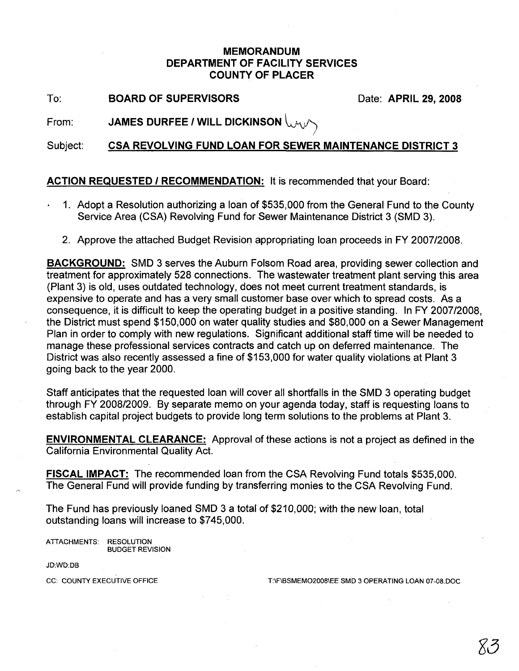## MEMORANDUM DEPARTMENT OF FACILITY SERVICES COUNTY OF PLACER

To: BOARD OF SUPERVISORS Date: APRIL 29, 2008

From: JAMES DURFEE / WILL DICKINSON  $\bigcup_{\forall j}$ 

Subject: CSA REVOLVING FUND LOAN FOR SEWER MAINTENANCE DISTRICT 3

!

## ACTION REQUESTED / RECOMMENDATION: It is recommended that your Board:

- 1. Adopt a Resolution authorizing a loan of \$535,000 from the General Fund to the County Service Area (CSA) Revolving Fund for Sewer Maintenance District 3 (SMD3).
	- 2. Approve the attached Budget Revision appropriating loan proceeds in FY 2007/2008.

BACKGROUND: SMD 3 serves the Auburn Folsom Road area, providing sewer collection and treatment for approximately 528 connections. The wastewater treatment plant serving this area (Plant 3) is old, uses outdated technology, does not meet current treatment standards, is expensive to operate and has a very small customer base over which to spread costs. As a consequence, it is difficult to keep the operating budget in a positive standing. In FY 2007/2008, the District must spend \$150,000 on water quality studies and \$80,000 on a Sewer Management Plan in order to comply with new regulations. Significant additional staff time will be needed to manage these professional services contracts and catch up on deferred maintenance. The District was also recently assessed a fine of \$153,000 for water quality violations at Plant 3 going back to the year 2000.

Staff anticipates that the requested loan will cover all shortfalls in the SMD 3 operating budget through FY 2008/2009. By separate memo on your agenda today, staff is requesting loans to establish capital project budgets to provide long term solutions to the problems at Plant 3.

ENVIRONMENTAL CLEARANCE: Approval of these actions is not a project as defined in the California Environmental Quality Act.

FISCAL IMPACT: The recommended loan from the CSA Revolving Fund totals \$535,000. The General Fund will provide funding by transferring monies to the CSA Revolving Fund.

The Fund has previously loaned SMD 3 a total of \$210,000; with the new loan, total outstanding loans will increase to \$745,000.

ATIACHMENTS: RESOLUTION BUDGET REVISION

JD:WD:DB

CC: COUNTY EXECUTIVE OFFICE T:\F\BSMEMO2008\EE SMD 3 OPERATING LOAN 07-08.DOC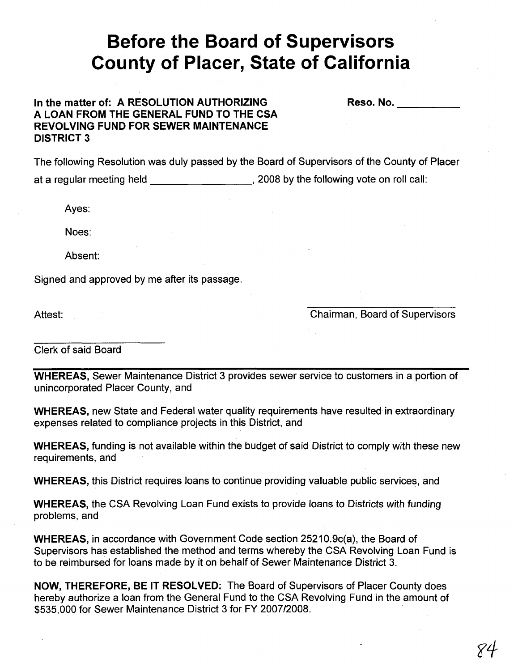## **Before the Board of Supervisors County of Placer, State of California**

## **In the matter of: A RESOLUTION AUTHORIZING A LOAN FROM THE GENERAL FUND TO THE CSA REVOLVING FUND FOR SEWER MAINTENANCE DISTRICT 3**

Reso. No. **Example** 

The following Resolution was duly passed by the Board of Supervisors of the County of Placer at a regular meeting held , 2008 by the following vote on roll call:

Ayes:

Noes:

Absent:

Signed and approved by me after its passage.

Attest:

Chairman, Board of Supervisors

Clerk of said Board

**WHEREAS,** Sewer Maintenance District 3 provides sewer service to customers in a portion of unincorporated Placer County, and

**WHEREAS,** new State and Federal water quality requirements have resulted in extraordinary expenses related to compliance projects in this District, and

**WHEREAS,** funding is not available within the budget of said District to comply with these new requirements, and

**WHEREAS,** this District requires loans to continue providing valuable public services, and

**WHEREAS,** the CSA Revolving Loan Fund exists to provide loans to Districts with funding problems, and

**WHEREAS,** in accordance with Government Code section 25210.9c(a), the Board of Supervisors has established the method and terms whereby the CSA Revolving Loan Fund is to be reimbursed for loans made by it on behalf of Sewer Maintenance District 3.

**NOW, THEREFORE, BE IT RESOLVED:** The Board of Supervisors of Placer County does hereby authorize a loan from the General Fund to the CSA Revolving Fund in the amount of \$535,000 for Sewer Maintenance District 3 for FY 2007/2008.